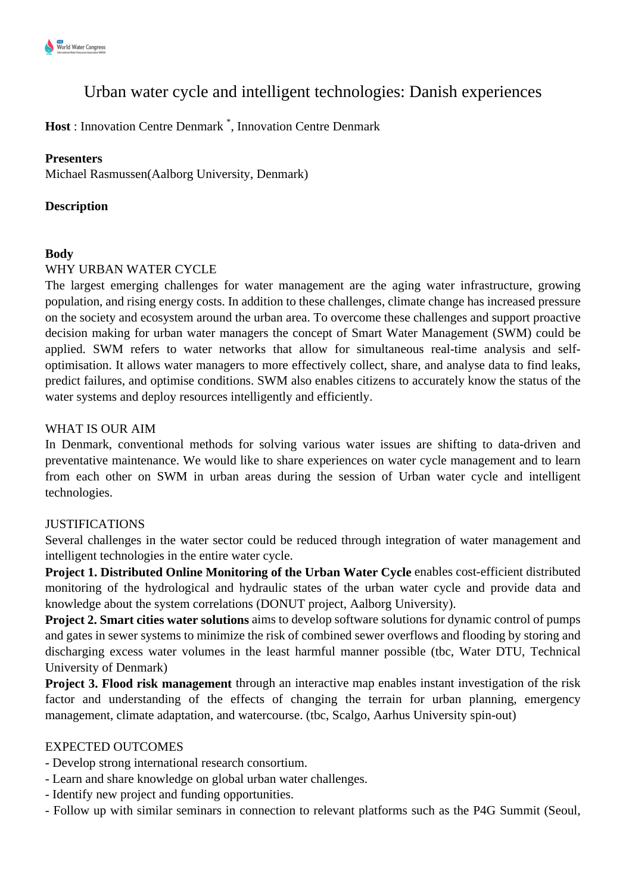# Urban water cycle and intelligent technologies: Danish experiences

**Host** : Innovation Centre Denmark \* , Innovation Centre Denmark

#### **Presenters**

Michael Rasmussen(Aalborg University, Denmark)

#### **Description**

#### **Body**

#### WHY URBAN WATER CYCLE

The largest emerging challenges for water management are the aging water infrastructure, growing population, and rising energy costs. In addition to these challenges, climate change has increased pressure on the society and ecosystem around the urban area. To overcome these challenges and support proactive decision making for urban water managers the concept of Smart Water Management (SWM) could be applied. SWM refers to water networks that allow for simultaneous real-time analysis and selfoptimisation. It allows water managers to more effectively collect, share, and analyse data to find leaks, predict failures, and optimise conditions. SWM also enables citizens to accurately know the status of the water systems and deploy resources intelligently and efficiently.

#### WHAT IS OUR AIM

In Denmark, conventional methods for solving various water issues are shifting to data-driven and preventative maintenance. We would like to share experiences on water cycle management and to learn from each other on SWM in urban areas during the session of Urban water cycle and intelligent technologies.

## JUSTIFICATIONS

Several challenges in the water sector could be reduced through integration of water management and intelligent technologies in the entire water cycle.

**Project 1. Distributed Online Monitoring of the Urban Water Cycle** enables cost-efficient distributed monitoring of the hydrological and hydraulic states of the urban water cycle and provide data and knowledge about the system correlations (DONUT project, Aalborg University).

**Project 2. Smart cities water solutions** aims to develop software solutions for dynamic control of pumps and gates in sewer systems to minimize the risk of combined sewer overflows and flooding by storing and discharging excess water volumes in the least harmful manner possible (tbc, Water DTU, Technical University of Denmark)

**Project 3. Flood risk management** through an interactive map enables instant investigation of the risk factor and understanding of the effects of changing the terrain for urban planning, emergency management, climate adaptation, and watercourse. (tbc, Scalgo, Aarhus University spin-out)

## EXPECTED OUTCOMES

- Develop strong international research consortium.
- Learn and share knowledge on global urban water challenges.
- Identify new project and funding opportunities.
- Follow up with similar seminars in connection to relevant platforms such as the P4G Summit (Seoul,